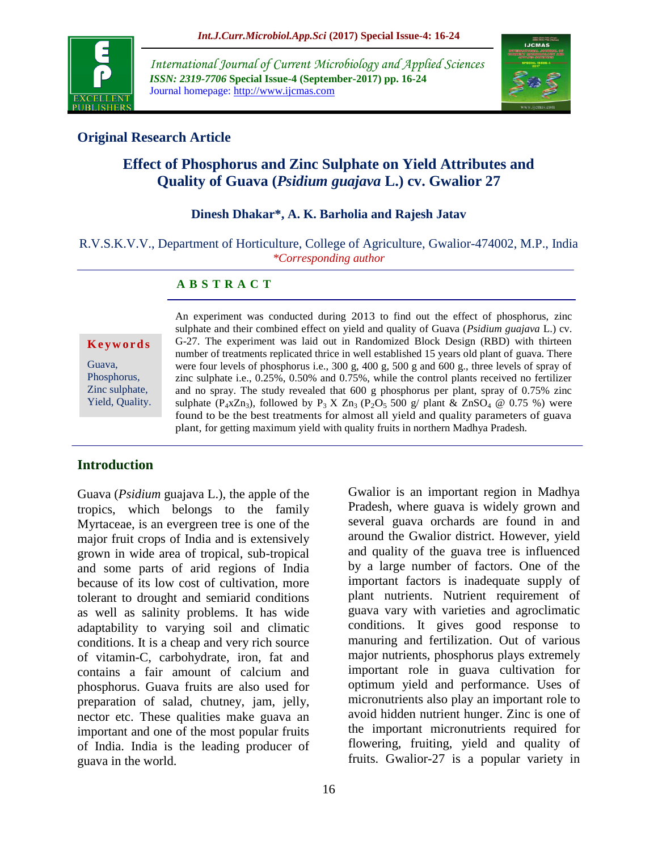

*International Journal of Current Microbiology and Applied Sciences ISSN: 2319-7706* **Special Issue-4 (September-2017) pp. 16-24** Journal homepage: http://www.ijcmas.com



# **Original Research Article**

# **Effect of Phosphorus and Zinc Sulphate on Yield Attributes and Quality of Guava (***Psidium guajava* **L.) cv. Gwalior 27**

# **Dinesh Dhakar\*, A. K. Barholia and Rajesh Jatav**

R.V.S.K.V.V., Department of Horticulture, College of Agriculture, Gwalior-474002, M.P., India *\*Corresponding author*

### **A B S T R A C T**

#### **K e y w o r d s**

Guava, Phosphorus, Zinc sulphate, Yield, Quality. An experiment was conducted during 2013 to find out the effect of phosphorus, zinc sulphate and their combined effect on yield and quality of Guava (*Psidium guajava* L.) cv. G-27. The experiment was laid out in Randomized Block Design (RBD) with thirteen number of treatments replicated thrice in well established 15 years old plant of guava. There were four levels of phosphorus i.e., 300 g, 400 g, 500 g and 600 g., three levels of spray of zinc sulphate i.e., 0.25%, 0.50% and 0.75%, while the control plants received no fertilizer and no spray. The study revealed that 600 g phosphorus per plant, spray of 0.75% zinc sulphate (P<sub>4</sub>xZn<sub>3</sub>), followed by P<sub>3</sub> X Zn<sub>3</sub> (P<sub>2</sub>O<sub>5</sub> 500 g/ plant & ZnSO<sub>4</sub> @ 0.75 %) were found to be the best treatments for almost all yield and quality parameters of guava plant, for getting maximum yield with quality fruits in northern Madhya Pradesh.

### **Introduction**

Guava (*Psidium* guajava L.), the apple of the tropics, which belongs to the family Myrtaceae, is an evergreen tree is one of the major fruit crops of India and is extensively grown in wide area of tropical, sub-tropical and some parts of arid regions of India because of its low cost of cultivation, more tolerant to drought and semiarid conditions as well as salinity problems. It has wide adaptability to varying soil and climatic conditions. It is a cheap and very rich source of vitamin-C, carbohydrate, iron, fat and contains a fair amount of calcium and phosphorus. Guava fruits are also used for preparation of salad, chutney, jam, jelly, nector etc. These qualities make guava an important and one of the most popular fruits of India. India is the leading producer of guava in the world.

several guava orchards are found in and around the Gwalior district. However, yield and quality of the guava tree is influenced by a large number of factors. One of the important factors is inadequate supply of plant nutrients. Nutrient requirement of guava vary with varieties and agroclimatic conditions. It gives good response to manuring and fertilization. Out of various major nutrients, phosphorus plays extremely important role in guava cultivation for optimum yield and performance. Uses of micronutrients also play an important role to avoid hidden nutrient hunger. Zinc is one of the important micronutrients required for flowering, fruiting, yield and quality of fruits. Gwalior-27 is a popular variety in

Gwalior is an important region in Madhya Pradesh, where guava is widely grown and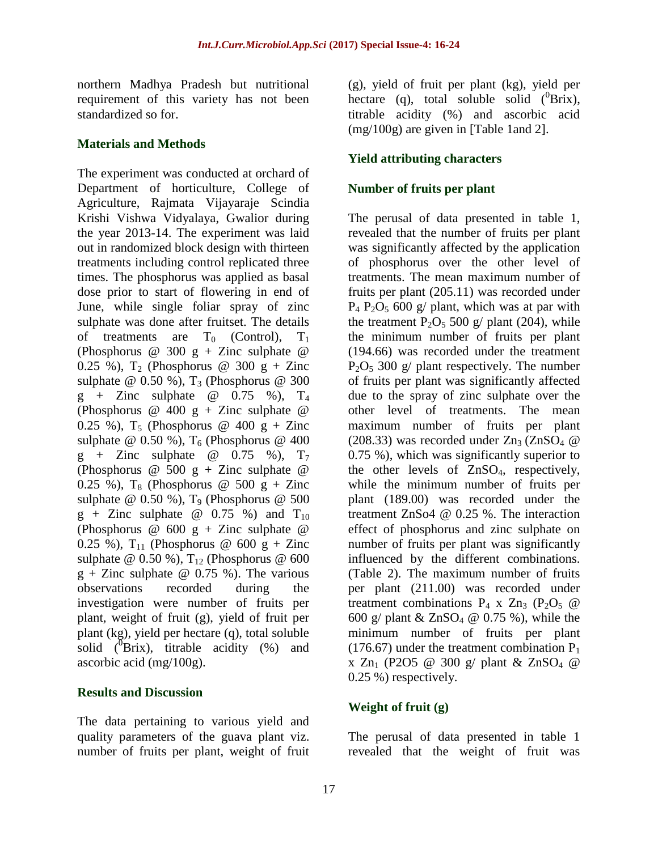northern Madhya Pradesh but nutritional requirement of this variety has not been standardized so for.

### **Materials and Methods**

The experiment was conducted at orchard of Department of horticulture, College of Agriculture, Rajmata Vijayaraje Scindia Krishi Vishwa Vidyalaya, Gwalior during the year 2013-14. The experiment was laid out in randomized block design with thirteen treatments including control replicated three times. The phosphorus was applied as basal dose prior to start of flowering in end of June, while single foliar spray of zinc sulphate was done after fruitset. The details of treatments are  $T_0$  (Control),  $T_1$ (Phosphorus @ 300 g + Zinc sulphate @ 0.25 %),  $T_2$  (Phosphorus @ 300 g + Zinc sulphate  $\omega$  0.50 %), T<sub>3</sub> (Phosphorus  $\omega$  300  $g$  + Zinc sulphate @ 0.75 %),  $T_4$ (Phosphorus  $\omega$  400 g + Zinc sulphate  $\omega$ 0.25 %),  $T_5$  (Phosphorus @ 400 g + Zinc sulphate @  $0.50\%$ ), T<sub>6</sub> (Phosphorus @ 400  $g$  + Zinc sulphate @ 0.75 %),  $T_7$ (Phosphorus  $\omega$  500 g + Zinc sulphate  $\omega$ 0.25 %),  $T_8$  (Phosphorus @ 500 g + Zinc sulphate  $\omega$  0.50 %), T<sub>9</sub> (Phosphorus  $\omega$  500  $g + Zinc$  sulphate @ 0.75 %) and  $T_{10}$ (Phosphorus  $\omega$  600 g + Zinc sulphate  $\omega$ 0.25 %),  $T_{11}$  (Phosphorus @ 600 g + Zinc sulphate @ 0.50 %),  $T_{12}$  (Phosphorus @ 600  $g + Zinc$  sulphate @ 0.75 %). The various observations recorded during the investigation were number of fruits per plant, weight of fruit (g), yield of fruit per plant (kg), yield per hectare (q), total soluble solid  $(^{0}Brix)$ , titrable acidity  $(^{0}_{0})$  and ascorbic acid (mg/100g).

# **Results and Discussion**

The data pertaining to various yield and quality parameters of the guava plant viz. number of fruits per plant, weight of fruit

(g), yield of fruit per plant (kg), yield per hectare (q), total soluble solid  $(^{0}Brix)$ , titrable acidity (%) and ascorbic acid (mg/100g) are given in [Table 1and 2].

# **Yield attributing characters**

# **Number of fruits per plant**

The perusal of data presented in table 1, revealed that the number of fruits per plant was significantly affected by the application of phosphorus over the other level of treatments. The mean maximum number of fruits per plant (205.11) was recorded under  $P_4$   $P_2O_5$  600 g/ plant, which was at par with the treatment  $P_2O_5$  500 g/ plant (204), while the minimum number of fruits per plant (194.66) was recorded under the treatment  $P_2O_5$  300 g/ plant respectively. The number of fruits per plant was significantly affected due to the spray of zinc sulphate over the other level of treatments. The mean maximum number of fruits per plant (208.33) was recorded under  $Zn_3$  (ZnSO<sub>4</sub>  $@$ 0.75 %), which was significantly superior to the other levels of ZnSO4, respectively, while the minimum number of fruits per plant (189.00) was recorded under the treatment ZnSo4 @ 0.25 %. The interaction effect of phosphorus and zinc sulphate on number of fruits per plant was significantly influenced by the different combinations. (Table 2). The maximum number of fruits per plant (211.00) was recorded under treatment combinations  $P_4$  x  $Zn_3$  (P<sub>2</sub>O<sub>5</sub> @ 600 g/ plant  $& \text{ZnSO}_4 \otimes 0.75$  %), while the minimum number of fruits per plant (176.67) under the treatment combination  $P_1$ x  $Zn_1$  (P2O5 @ 300 g/ plant &  $ZnSO_4$  @ 0.25 %) respectively.

# **Weight of fruit (g)**

The perusal of data presented in table 1 revealed that the weight of fruit was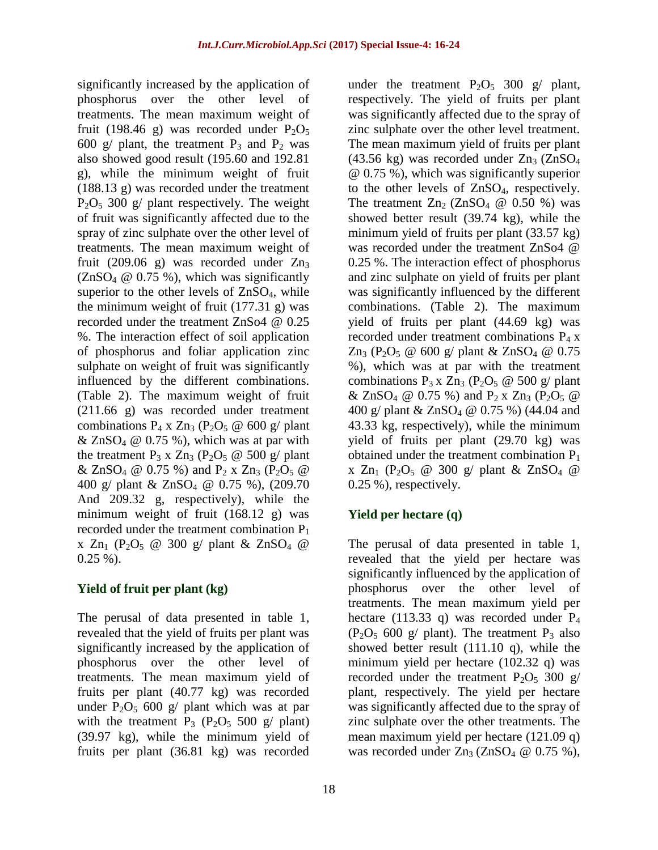significantly increased by the application of phosphorus over the other level of treatments. The mean maximum weight of fruit (198.46 g) was recorded under  $P_2O_5$ 600 g/ plant, the treatment  $P_3$  and  $P_2$  was also showed good result (195.60 and 192.81 g), while the minimum weight of fruit (188.13 g) was recorded under the treatment  $P_2O_5$  300 g/ plant respectively. The weight of fruit was significantly affected due to the spray of zinc sulphate over the other level of treatments. The mean maximum weight of fruit (209.06 g) was recorded under  $Zn_3$  $(ZnSO<sub>4</sub> \t@ 0.75 \t%),$  which was significantly superior to the other levels of ZnSO<sub>4</sub>, while the minimum weight of fruit (177.31 g) was recorded under the treatment ZnSo4 @ 0.25 %. The interaction effect of soil application of phosphorus and foliar application zinc sulphate on weight of fruit was significantly influenced by the different combinations. (Table 2). The maximum weight of fruit (211.66 g) was recorded under treatment combinations  $P_4$  x  $Zn_3$  ( $P_2O_5 \otimes 600$  g/ plant  $& \text{ZnSO}_4 \otimes 0.75 \text{ %}$ , which was at par with the treatment  $P_3$  x  $Zn_3$  ( $P_2O_5 \otimes 500$  g/ plant & ZnSO<sub>4</sub> @ 0.75 %) and P<sub>2</sub> x Zn<sub>3</sub> (P<sub>2</sub>O<sub>5</sub> @ 400 g/ plant & ZnSO<sup>4</sup> @ 0.75 %), (209.70 And 209.32 g, respectively), while the minimum weight of fruit (168.12 g) was recorded under the treatment combination  $P_1$ x  $Zn_1$  (P<sub>2</sub>O<sub>5</sub> @ 300 g/ plant & ZnSO<sub>4</sub> @  $0.25 \%$ ).

### **Yield of fruit per plant (kg)**

The perusal of data presented in table 1, revealed that the yield of fruits per plant was significantly increased by the application of phosphorus over the other level of treatments. The mean maximum yield of fruits per plant (40.77 kg) was recorded under  $P_2O_5$  600 g/ plant which was at par with the treatment  $P_3$  ( $P_2O_5$  500 g/ plant) (39.97 kg), while the minimum yield of fruits per plant (36.81 kg) was recorded

under the treatment  $P_2O_5$  300 g/ plant, respectively. The yield of fruits per plant was significantly affected due to the spray of zinc sulphate over the other level treatment. The mean maximum yield of fruits per plant  $(43.56 \text{ kg})$  was recorded under  $Zn_3$   $(ZnSO_4)$ @ 0.75 %), which was significantly superior to the other levels of  $ZnSO<sub>4</sub>$ , respectively. The treatment  $Zn_2$  (ZnSO<sub>4</sub>  $\omega$  0.50 %) was showed better result (39.74 kg), while the minimum yield of fruits per plant (33.57 kg) was recorded under the treatment ZnSo4 @ 0.25 %. The interaction effect of phosphorus and zinc sulphate on yield of fruits per plant was significantly influenced by the different combinations. (Table 2). The maximum yield of fruits per plant (44.69 kg) was recorded under treatment combinations  $P_4 x$  $Zn_3$  (P<sub>2</sub>O<sub>5</sub> @ 600 g/ plant & ZnSO<sub>4</sub> @ 0.75 %), which was at par with the treatment combinations  $P_3 x Zn_3 (P_2O_5 \omega 500 \text{ g/mol})$ & ZnSO<sub>4</sub> @ 0.75 %) and P<sub>2</sub> x Zn<sub>3</sub> (P<sub>2</sub>O<sub>5</sub> @ 400 g/ plant & ZnSO<sub>4</sub> @ 0.75 %) (44.04 and 43.33 kg, respectively), while the minimum yield of fruits per plant (29.70 kg) was obtained under the treatment combination  $P_1$ x  $Zn_1$  (P<sub>2</sub>O<sub>5</sub> @ 300 g/ plant &  $ZnSO_4$  @ 0.25 %), respectively.

### **Yield per hectare (q)**

The perusal of data presented in table 1, revealed that the yield per hectare was significantly influenced by the application of phosphorus over the other level of treatments. The mean maximum yield per hectare (113.33 q) was recorded under  $P_4$  $(P_2O_5 600 g/$  plant). The treatment  $P_3$  also showed better result (111.10 q), while the minimum yield per hectare (102.32 q) was recorded under the treatment  $P_2O_5$  300 g/ plant, respectively. The yield per hectare was significantly affected due to the spray of zinc sulphate over the other treatments. The mean maximum yield per hectare (121.09 q) was recorded under  $Zn_3$  (ZnSO<sub>4</sub>  $@$  0.75 %),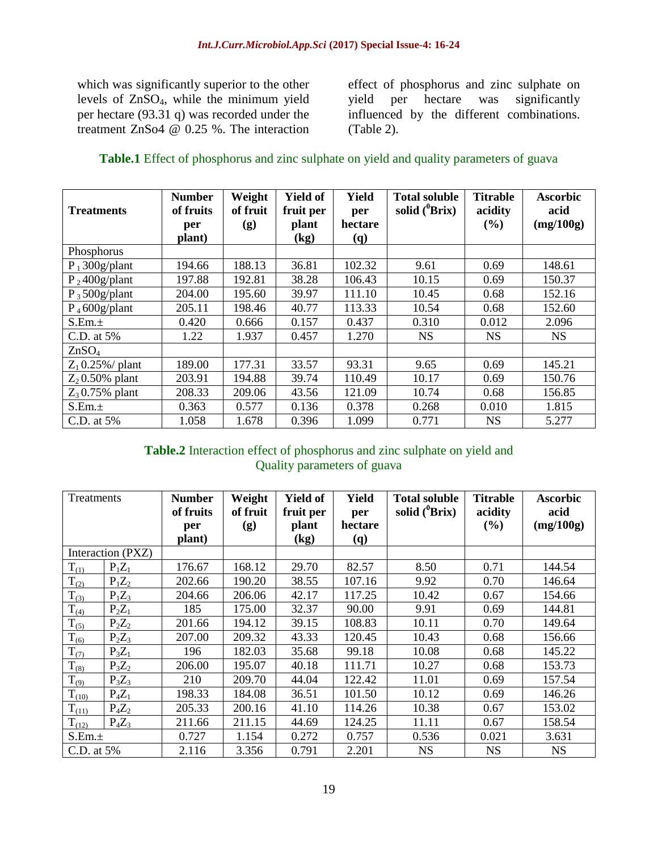which was significantly superior to the other levels of ZnSO4, while the minimum yield per hectare (93.31 q) was recorded under the treatment ZnSo4 @ 0.25 %. The interaction effect of phosphorus and zinc sulphate on yield per hectare was significantly influenced by the different combinations. (Table 2).

| Table.1 Effect of phosphorus and zinc sulphate on yield and quality parameters of guava |  |  |  |
|-----------------------------------------------------------------------------------------|--|--|--|
|-----------------------------------------------------------------------------------------|--|--|--|

| <b>Treatments</b>  | <b>Number</b><br>of fruits<br>per<br>plant) | Weight<br>of fruit<br>(g) | <b>Yield of</b><br>fruit per<br>plant<br>(kg) | <b>Yield</b><br>per<br>hectare<br><b>(q)</b> | <b>Total soluble</b><br>solid $(^0Brix)$ | <b>Titrable</b><br>acidity<br>$($ %) | <b>Ascorbic</b><br>acid<br>(mg/100g) |
|--------------------|---------------------------------------------|---------------------------|-----------------------------------------------|----------------------------------------------|------------------------------------------|--------------------------------------|--------------------------------------|
| Phosphorus         |                                             |                           |                                               |                                              |                                          |                                      |                                      |
| $P_1 300g/plant$   | 194.66                                      | 188.13                    | 36.81                                         | 102.32                                       | 9.61                                     | 0.69                                 | 148.61                               |
| $P_2$ 400g/plant   | 197.88                                      | 192.81                    | 38.28                                         | 106.43                                       | 10.15                                    | 0.69                                 | 150.37                               |
| $P_3$ 500g/plant   | 204.00                                      | 195.60                    | 39.97                                         | 111.10                                       | 10.45                                    | 0.68                                 | 152.16                               |
| $P_4 600g$ /plant  | 205.11                                      | 198.46                    | 40.77                                         | 113.33                                       | 10.54                                    | 0.68                                 | 152.60                               |
| S.Em.±             | 0.420                                       | 0.666                     | 0.157                                         | 0.437                                        | 0.310                                    | 0.012                                | 2.096                                |
| C.D. at 5%         | 1.22                                        | 1.937                     | 0.457                                         | 1.270                                        | <b>NS</b>                                | <b>NS</b>                            | <b>NS</b>                            |
| ZnSO <sub>4</sub>  |                                             |                           |                                               |                                              |                                          |                                      |                                      |
| $Z_1$ 0.25%/ plant | 189.00                                      | 177.31                    | 33.57                                         | 93.31                                        | 9.65                                     | 0.69                                 | 145.21                               |
| $Z_2$ 0.50% plant  | 203.91                                      | 194.88                    | 39.74                                         | 110.49                                       | 10.17                                    | 0.69                                 | 150.76                               |
| $Z_3$ 0.75% plant  | 208.33                                      | 209.06                    | 43.56                                         | 121.09                                       | 10.74                                    | 0.68                                 | 156.85                               |
| S.Em.±             | 0.363                                       | 0.577                     | 0.136                                         | 0.378                                        | 0.268                                    | 0.010                                | 1.815                                |
| C.D. at 5%         | 1.058                                       | 1.678                     | 0.396                                         | 1.099                                        | 0.771                                    | <b>NS</b>                            | 5.277                                |

# **Table.2** Interaction effect of phosphorus and zinc sulphate on yield and Quality parameters of guava

| Treatments |                   | <b>Number</b><br>of fruits<br>per<br>plant) | Weight<br>of fruit<br>(g) | <b>Yield of</b><br>fruit per<br>plant<br>(kg) | Yield<br>per<br>hectare<br><b>(q)</b> | <b>Total soluble</b><br>solid $(^0Brix)$ | <b>Titrable</b><br>acidity<br>(%) | <b>Ascorbic</b><br>acid<br>(mg/100g) |
|------------|-------------------|---------------------------------------------|---------------------------|-----------------------------------------------|---------------------------------------|------------------------------------------|-----------------------------------|--------------------------------------|
|            | Interaction (PXZ) |                                             |                           |                                               |                                       |                                          |                                   |                                      |
| $T_{(1)}$  | $P_1Z_1$          | 176.67                                      | 168.12                    | 29.70                                         | 82.57                                 | 8.50                                     | 0.71                              | 144.54                               |
| $T_{(2)}$  | $P_1Z_2$          | 202.66                                      | 190.20                    | 38.55                                         | 107.16                                | 9.92                                     | 0.70                              | 146.64                               |
| $T_{(3)}$  | $P_1Z_3$          | 204.66                                      | 206.06                    | 42.17                                         | 117.25                                | 10.42                                    | 0.67                              | 154.66                               |
| $T_{(4)}$  | $P_2Z_1$          | 185                                         | 175.00                    | 32.37                                         | 90.00                                 | 9.91                                     | 0.69                              | 144.81                               |
| $T_{(5)}$  | $P_2Z_2$          | 201.66                                      | 194.12                    | 39.15                                         | 108.83                                | 10.11                                    | 0.70                              | 149.64                               |
| $T_{(6)}$  | $P_2Z_3$          | 207.00                                      | 209.32                    | 43.33                                         | 120.45                                | 10.43                                    | 0.68                              | 156.66                               |
| $T_{(7)}$  | $P_3Z_1$          | 196                                         | 182.03                    | 35.68                                         | 99.18                                 | 10.08                                    | 0.68                              | 145.22                               |
| $T_{(8)}$  | $P_3Z_2$          | 206.00                                      | 195.07                    | 40.18                                         | 111.71                                | 10.27                                    | 0.68                              | 153.73                               |
| $T_{(9)}$  | $P_3Z_3$          | 210                                         | 209.70                    | 44.04                                         | 122.42                                | 11.01                                    | 0.69                              | 157.54                               |
| $T_{(10)}$ | $P_4Z_1$          | 198.33                                      | 184.08                    | 36.51                                         | 101.50                                | 10.12                                    | 0.69                              | 146.26                               |
| $T_{(11)}$ | $P_4Z_2$          | 205.33                                      | 200.16                    | 41.10                                         | 114.26                                | 10.38                                    | 0.67                              | 153.02                               |
| $T_{(12)}$ | $P_4Z_3$          | 211.66                                      | 211.15                    | 44.69                                         | 124.25                                | 11.11                                    | 0.67                              | 158.54                               |
| S.Em.±     |                   | 0.727                                       | 1.154                     | 0.272                                         | 0.757                                 | 0.536                                    | 0.021                             | 3.631                                |
| C.D. at 5% |                   | 2.116                                       | 3.356                     | 0.791                                         | 2.201                                 | <b>NS</b>                                | <b>NS</b>                         | <b>NS</b>                            |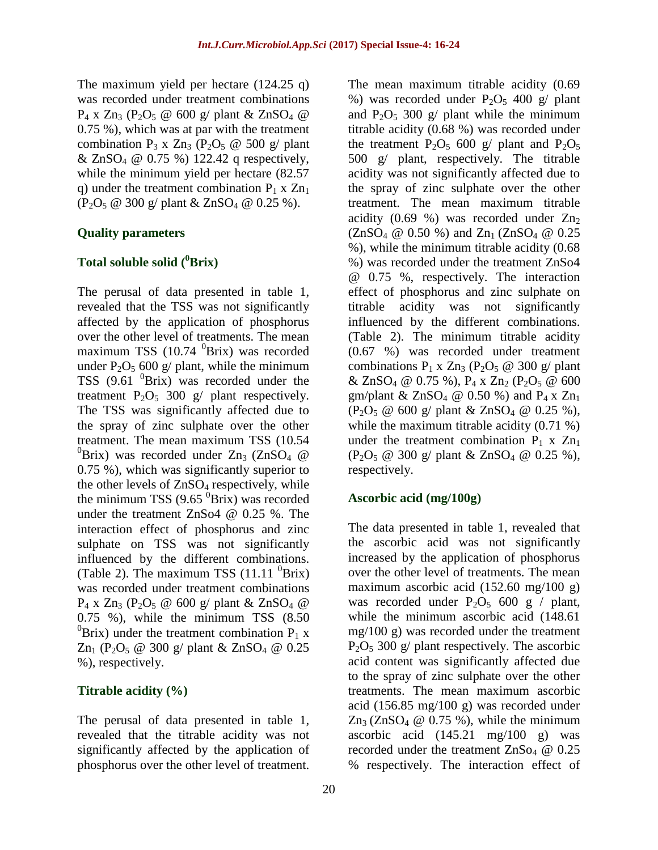The maximum yield per hectare (124.25 q) was recorded under treatment combinations  $P_4$  x Zn<sub>3</sub> (P<sub>2</sub>O<sub>5</sub> @ 600 g/ plant & ZnSO<sub>4</sub> @ 0.75 %), which was at par with the treatment combination  $P_3$  x  $Zn_3$  ( $P_2O_5$  @ 500 g/ plant & ZnSO<sub>4</sub> @ 0.75 %) 122.42 q respectively, while the minimum yield per hectare (82.57 q) under the treatment combination  $P_1$  x  $Zn_1$  $(P_2O_5 \tQ 300 \tQ \tD)$  plant & ZnSO<sub>4</sub>  $\tQ 0.25 \%$ ).

### **Quality parameters**

# **Total soluble solid (<sup>0</sup>Brix)**

The perusal of data presented in table 1, revealed that the TSS was not significantly affected by the application of phosphorus over the other level of treatments. The mean maximum TSS (10.74  $^{0}$ Brix) was recorded under  $P_2O_5$  600 g/ plant, while the minimum TSS  $(9.61 \text{ }^0$ Brix) was recorded under the treatment  $P_2O_5$  300 g/ plant respectively. The TSS was significantly affected due to the spray of zinc sulphate over the other treatment. The mean maximum TSS (10.54  $^{0}$ Brix) was recorded under Zn<sub>3</sub> (ZnSO<sub>4</sub> @ 0.75 %), which was significantly superior to the other levels of  $ZnSO<sub>4</sub>$  respectively, while the minimum TSS  $(9.65 \text{ }^{0}Brix)$  was recorded under the treatment ZnSo4 @ 0.25 %. The interaction effect of phosphorus and zinc sulphate on TSS was not significantly influenced by the different combinations. (Table 2). The maximum TSS  $(11.11 \text{ }^{0}Brix)$ was recorded under treatment combinations  $P_4$  x  $Zn_3$  (P<sub>2</sub>O<sub>5</sub> @ 600 g/ plant &  $ZnSO_4$  @ 0.75 %), while the minimum TSS (8.50  ${}^{0}$ Brix) under the treatment combination P<sub>1</sub> x  $Zn_1$  (P<sub>2</sub>O<sub>5</sub> @ 300 g/ plant & ZnSO<sub>4</sub> @ 0.25 %), respectively.

### **Titrable acidity (%)**

The perusal of data presented in table 1, revealed that the titrable acidity was not significantly affected by the application of phosphorus over the other level of treatment. The mean maximum titrable acidity (0.69 %) was recorded under  $P_2O_5$  400 g/ plant and  $P_2O_5$  300 g/ plant while the minimum titrable acidity (0.68 %) was recorded under the treatment  $P_2O_5$  600 g/ plant and  $P_2O_5$ 500 g/ plant, respectively. The titrable acidity was not significantly affected due to the spray of zinc sulphate over the other treatment. The mean maximum titrable acidity  $(0.69 \%)$  was recorded under  $Zn<sub>2</sub>$  $(ZnSO_4 \t\omega 0.50 \t\% )$  and  $Zn_1$  (ZnSO<sub>4</sub>  $\omega$  0.25 %), while the minimum titrable acidity (0.68 %) was recorded under the treatment ZnSo4 @ 0.75 %, respectively. The interaction effect of phosphorus and zinc sulphate on titrable acidity was not significantly influenced by the different combinations. (Table 2). The minimum titrable acidity (0.67 %) was recorded under treatment combinations  $P_1$  x  $Zn_3$  ( $P_2O_5 \otimes 300$  g/ plant & ZnSO<sub>4</sub> @ 0.75 %),  $P_4$  x Zn<sub>2</sub> ( $P_2O_5$  @ 600 gm/plant &  $ZnSO_4 \tQ 0.50 %$  and  $P_4 \tX Zn_1$  $(P_2O_5 \tQ 600 \t g/$  plant & ZnSO<sub>4</sub>  $\tQ 0.25 \%$ ), while the maximum titrable acidity  $(0.71\%)$ under the treatment combination  $P_1$  x  $Zn_1$  $(P_2O_5 \tQ 300 g / \text{plant} \& ZnSO_4 \tQ 0.25 \t%),$ respectively.

### **Ascorbic acid (mg/100g)**

The data presented in table 1, revealed that the ascorbic acid was not significantly increased by the application of phosphorus over the other level of treatments. The mean maximum ascorbic acid (152.60 mg/100 g) was recorded under  $P_2O_5$  600 g / plant, while the minimum ascorbic acid (148.61 mg/100 g) was recorded under the treatment  $P_2O_5$  300 g/ plant respectively. The ascorbic acid content was significantly affected due to the spray of zinc sulphate over the other treatments. The mean maximum ascorbic acid (156.85 mg/100 g) was recorded under  $Zn_3$  (ZnSO<sub>4</sub> @ 0.75 %), while the minimum ascorbic acid (145.21 mg/100 g) was recorded under the treatment  $ZnSo<sub>4</sub> @ 0.25$ % respectively. The interaction effect of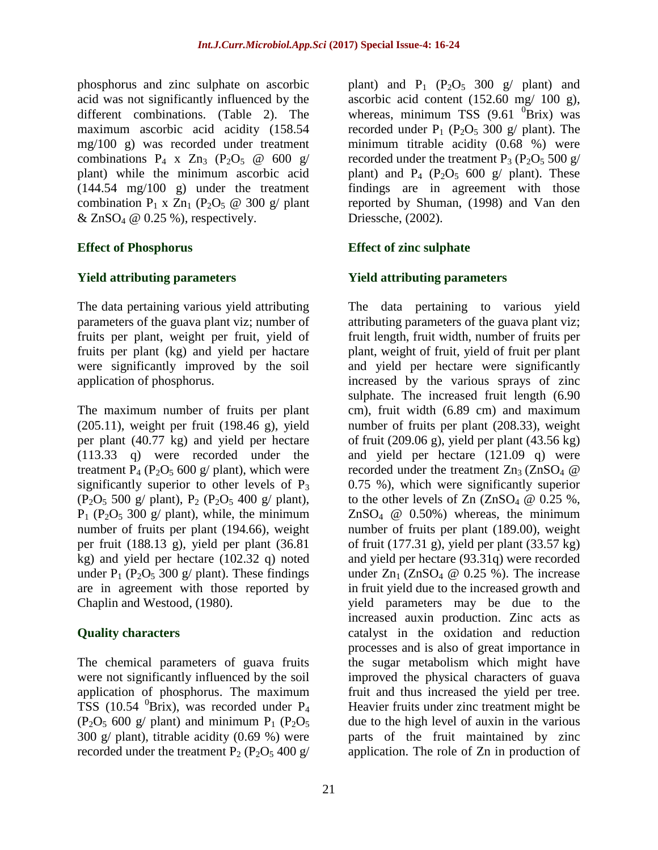phosphorus and zinc sulphate on ascorbic acid was not significantly influenced by the different combinations. (Table 2). The maximum ascorbic acid acidity (158.54 mg/100 g) was recorded under treatment combinations  $P_4$  x  $Zn_3$  ( $P_2O_5$  @ 600 g/ plant) while the minimum ascorbic acid (144.54 mg/100 g) under the treatment combination  $P_1$  x  $Zn_1$  ( $P_2O_5 \otimes 300$  g/ plant  $& \text{ZnSO}_4 \otimes 0.25 \%$ , respectively.

# **Effect of Phosphorus**

### **Yield attributing parameters**

The data pertaining various yield attributing parameters of the guava plant viz; number of fruits per plant, weight per fruit, yield of fruits per plant (kg) and yield per hactare were significantly improved by the soil application of phosphorus.

The maximum number of fruits per plant (205.11), weight per fruit (198.46 g), yield per plant (40.77 kg) and yield per hectare (113.33 q) were recorded under the treatment  $P_4$  ( $P_2O_5$  600 g/ plant), which were significantly superior to other levels of  $P_3$  $(P_2O_5 500 g/ plant)$ ,  $P_2 (P_2O_5 400 g/ plant)$ ,  $P_1$  ( $P_2O_5$  300 g/ plant), while, the minimum number of fruits per plant (194.66), weight per fruit (188.13 g), yield per plant (36.81 kg) and yield per hectare (102.32 q) noted under  $P_1$  (P<sub>2</sub>O<sub>5</sub> 300 g/ plant). These findings are in agreement with those reported by Chaplin and Westood, (1980).

# **Quality characters**

The chemical parameters of guava fruits were not significantly influenced by the soil application of phosphorus. The maximum TSS (10.54  $^{0}$ Brix), was recorded under P<sub>4</sub>  $(P_2O_5 600 g/$  plant) and minimum  $P_1 (P_2O_5$ 300 g/ plant), titrable acidity (0.69 %) were recorded under the treatment  $P_2$  ( $P_2O_5$  400 g/

plant) and  $P_1$  ( $P_2O_5$  300 g/ plant) and ascorbic acid content (152.60 mg/ 100 g), whereas, minimum TSS  $(9.61 \text{ }^{0}Brix)$  was recorded under  $P_1$  ( $P_2O_5$  300 g/ plant). The minimum titrable acidity (0.68 %) were recorded under the treatment  $P_3$  ( $P_2O_5$  500 g/ plant) and  $P_4$  ( $P_2O_5$  600 g/ plant). These findings are in agreement with those reported by Shuman, (1998) and Van den Driessche, (2002).

# **Effect of zinc sulphate**

# **Yield attributing parameters**

The data pertaining to various yield attributing parameters of the guava plant viz; fruit length, fruit width, number of fruits per plant, weight of fruit, yield of fruit per plant and yield per hectare were significantly increased by the various sprays of zinc sulphate. The increased fruit length (6.90 cm), fruit width (6.89 cm) and maximum number of fruits per plant (208.33), weight of fruit  $(209.06 \text{ g})$ , yield per plant  $(43.56 \text{ kg})$ and yield per hectare (121.09 q) were recorded under the treatment  $Zn_3$  (ZnSO<sub>4</sub>  $@$ 0.75 %), which were significantly superior to the other levels of Zn  $(ZnSO<sub>4</sub> \omega 0.25 \%$ ,  $ZnSO<sub>4</sub>$  @ 0.50%) whereas, the minimum number of fruits per plant (189.00), weight of fruit (177.31 g), yield per plant (33.57 kg) and yield per hectare (93.31q) were recorded under  $Zn_1$  (ZnSO<sub>4</sub>  $\omega$  0.25 %). The increase in fruit yield due to the increased growth and yield parameters may be due to the increased auxin production. Zinc acts as catalyst in the oxidation and reduction processes and is also of great importance in the sugar metabolism which might have improved the physical characters of guava fruit and thus increased the yield per tree. Heavier fruits under zinc treatment might be due to the high level of auxin in the various parts of the fruit maintained by zinc application. The role of Zn in production of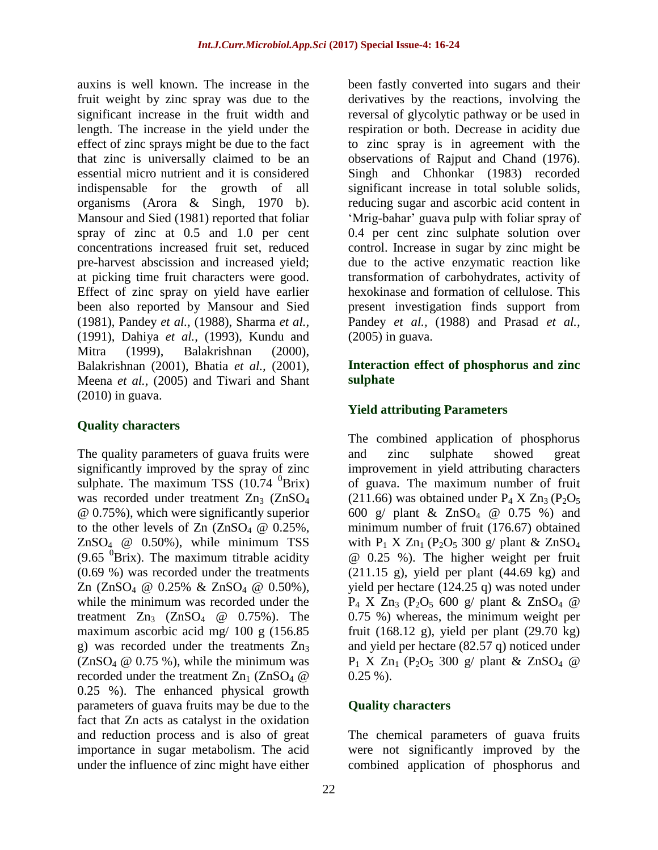auxins is well known. The increase in the fruit weight by zinc spray was due to the significant increase in the fruit width and length. The increase in the yield under the effect of zinc sprays might be due to the fact that zinc is universally claimed to be an essential micro nutrient and it is considered indispensable for the growth of all organisms (Arora & Singh, 1970 b). Mansour and Sied (1981) reported that foliar spray of zinc at 0.5 and 1.0 per cent concentrations increased fruit set, reduced pre-harvest abscission and increased yield; at picking time fruit characters were good. Effect of zinc spray on yield have earlier been also reported by Mansour and Sied (1981), Pandey *et al.,* (1988), Sharma *et al.,* (1991), Dahiya *et al.,* (1993), Kundu and Mitra (1999), Balakrishnan (2000), Balakrishnan (2001), Bhatia *et al.,* (2001), Meena *et al.,* (2005) and Tiwari and Shant (2010) in guava.

### **Quality characters**

The quality parameters of guava fruits were significantly improved by the spray of zinc sulphate. The maximum TSS  $(10.74 \text{ }^{0}Brix)$ was recorded under treatment  $Zn_3$  ( $ZnSO_4$ ) @ 0.75%), which were significantly superior to the other levels of  $Zn$  ( $ZnSO<sub>4</sub>$  @ 0.25%,  $ZnSO<sub>4</sub>$  @ 0.50%), while minimum TSS  $(9.65 \text{ }^{0}Brix)$ . The maximum titrable acidity (0.69 %) was recorded under the treatments Zn  $(ZnSO_4 \t\omega 0.25\% \t\& ZnSO_4 \t\omega 0.50\%),$ while the minimum was recorded under the treatment  $Zn_3$  ( $ZnSO_4$  @ 0.75%). The maximum ascorbic acid mg/ 100 g (156.85 g) was recorded under the treatments  $Zn_3$  $(ZnSO<sub>4</sub> \t@ 0.75 \t%),$  while the minimum was recorded under the treatment  $Zn_1$  (ZnSO<sub>4</sub>  $@$ 0.25 %). The enhanced physical growth parameters of guava fruits may be due to the fact that Zn acts as catalyst in the oxidation and reduction process and is also of great importance in sugar metabolism. The acid under the influence of zinc might have either

been fastly converted into sugars and their derivatives by the reactions, involving the reversal of glycolytic pathway or be used in respiration or both. Decrease in acidity due to zinc spray is in agreement with the observations of Rajput and Chand (1976). Singh and Chhonkar (1983) recorded significant increase in total soluble solids, reducing sugar and ascorbic acid content in 'Mrig-bahar' guava pulp with foliar spray of 0.4 per cent zinc sulphate solution over control. Increase in sugar by zinc might be due to the active enzymatic reaction like transformation of carbohydrates, activity of hexokinase and formation of cellulose. This present investigation finds support from Pandey *et al.,* (1988) and Prasad *et al.,* (2005) in guava.

### **Interaction effect of phosphorus and zinc sulphate**

### **Yield attributing Parameters**

The combined application of phosphorus and zinc sulphate showed great improvement in yield attributing characters of guava. The maximum number of fruit  $(211.66)$  was obtained under P<sub>4</sub> X Zn<sub>3</sub> (P<sub>2</sub>O<sub>5</sub>) 600 g/ plant &  $ZnSO_4 \t@ 0.75 %$  and minimum number of fruit (176.67) obtained with  $P_1$  X  $Zn_1$  ( $P_2O_5$  300 g/ plant &  $ZnSO_4$ @ 0.25 %). The higher weight per fruit  $(211.15 \text{ g})$ , yield per plant  $(44.69 \text{ kg})$  and yield per hectare (124.25 q) was noted under  $P_4$  X  $Zn_3$  ( $P_2O_5$  600 g/ plant &  $ZnSO_4$  @ 0.75 %) whereas, the minimum weight per fruit (168.12 g), yield per plant (29.70 kg) and yield per hectare (82.57 q) noticed under  $P_1$  X Zn<sub>1</sub> (P<sub>2</sub>O<sub>5</sub> 300 g/ plant & ZnSO<sub>4</sub> @  $0.25\%$ ).

### **Quality characters**

The chemical parameters of guava fruits were not significantly improved by the combined application of phosphorus and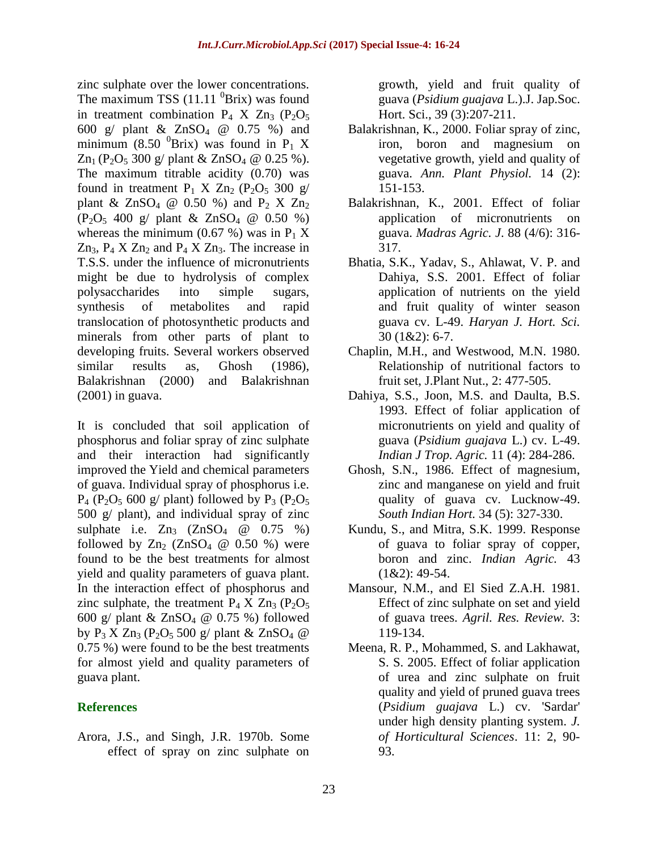zinc sulphate over the lower concentrations. The maximum TSS  $(11.11 \text{ }^{0}Brix)$  was found in treatment combination  $P_4$  X  $Zn_3$  (P<sub>2</sub>O<sub>5</sub>) 600 g/ plant  $& \text{ZnSO}_4 \text{ } @ 0.75 \text{ } \%$  and minimum (8.50  ${}^{0}$ Brix) was found in P<sub>1</sub> X  $Zn_1$  (P<sub>2</sub>O<sub>5</sub> 300 g/ plant & ZnSO<sub>4</sub> @ 0.25 %). The maximum titrable acidity (0.70) was found in treatment  $P_1$  X  $Zn_2$  ( $P_2O_5$  300 g/ plant &  $ZnSO_4 \t@ 0.50 \t%$  and  $P_2$  X  $Zn_2$  $(P_2O_5 400 \text{ g} / \text{plant} \& ZnSO_4 \& 0.50 \% )$ whereas the minimum (0.67 %) was in  $P_1 X$  $Zn_3$ ,  $P_4$  X  $Zn_2$  and  $P_4$  X  $Zn_3$ . The increase in T.S.S. under the influence of micronutrients might be due to hydrolysis of complex polysaccharides into simple sugars, synthesis of metabolites and rapid translocation of photosynthetic products and minerals from other parts of plant to developing fruits. Several workers observed similar results as, Ghosh (1986), Balakrishnan (2000) and Balakrishnan (2001) in guava.

It is concluded that soil application of phosphorus and foliar spray of zinc sulphate and their interaction had significantly improved the Yield and chemical parameters of guava. Individual spray of phosphorus i.e.  $P_4$  (P<sub>2</sub>O<sub>5</sub> 600 g/ plant) followed by P<sub>3</sub> (P<sub>2</sub>O<sub>5</sub>) 500 g/ plant), and individual spray of zinc sulphate i.e.  $Zn_3$   $(ZnSO_4 \quad \omega \quad 0.75 \quad \%)$ followed by  $Zn_2$  (ZnSO<sub>4</sub>  $@$  0.50 %) were found to be the best treatments for almost yield and quality parameters of guava plant. In the interaction effect of phosphorus and zinc sulphate, the treatment  $P_4$  X  $Zn_3$  ( $P_2O_5$ ) 600 g/ plant  $& \text{ZnSO}_4 \ @$  0.75 %) followed by  $P_3$  X  $Zn_3$  ( $P_2O_5$  500 g/ plant &  $ZnSO_4$  @ 0.75 %) were found to be the best treatments for almost yield and quality parameters of guava plant.

# **References**

Arora, J.S., and Singh, J.R. 1970b. Some effect of spray on zinc sulphate on

growth, yield and fruit quality of guava (*Psidium guajava* L.).J. Jap.Soc. Hort. Sci., 39 (3):207-211.

- Balakrishnan, K., 2000. Foliar spray of zinc, iron, boron and magnesium on vegetative growth, yield and quality of guava. *Ann. Plant Physiol.* 14 (2): 151-153.
- Balakrishnan, K., 2001. Effect of foliar application of micronutrients on guava. *Madras Agric. J*. 88 (4/6): 316- 317.
- Bhatia, S.K., Yadav, S., Ahlawat, V. P. and Dahiya, S.S. 2001. Effect of foliar application of nutrients on the yield and fruit quality of winter season guava cv. L-49. *Haryan J. Hort. Sci.* 30 (1&2): 6-7.
- Chaplin, M.H., and Westwood, M.N. 1980. Relationship of nutritional factors to fruit set, J.Plant Nut., 2: 477-505.
- Dahiya, S.S., Joon, M.S. and Daulta, B.S. 1993. Effect of foliar application of micronutrients on yield and quality of guava (*Psidium guajava* L.) cv. L-49. *Indian J Trop. Agric.* 11 (4): 284-286.
- Ghosh, S.N., 1986. Effect of magnesium, zinc and manganese on yield and fruit quality of guava cv. Lucknow-49. *South Indian Hort.* 34 (5): 327-330.
- Kundu, S., and Mitra, S.K. 1999. Response of guava to foliar spray of copper, boron and zinc. *Indian Agric.* 43 (1&2): 49-54.
- Mansour, N.M., and El Sied Z.A.H. 1981. Effect of zinc sulphate on set and yield of guava trees. *Agril. Res. Review.* 3: 119-134.
- Meena, R. P., Mohammed, S. and Lakhawat, S. S. 2005. Effect of foliar application of urea and zinc sulphate on fruit quality and yield of pruned guava trees (*Psidium guajava* L.) cv. 'Sardar' under high density planting system. *J. of Horticultural Sciences*. 11: 2, 90- 93.